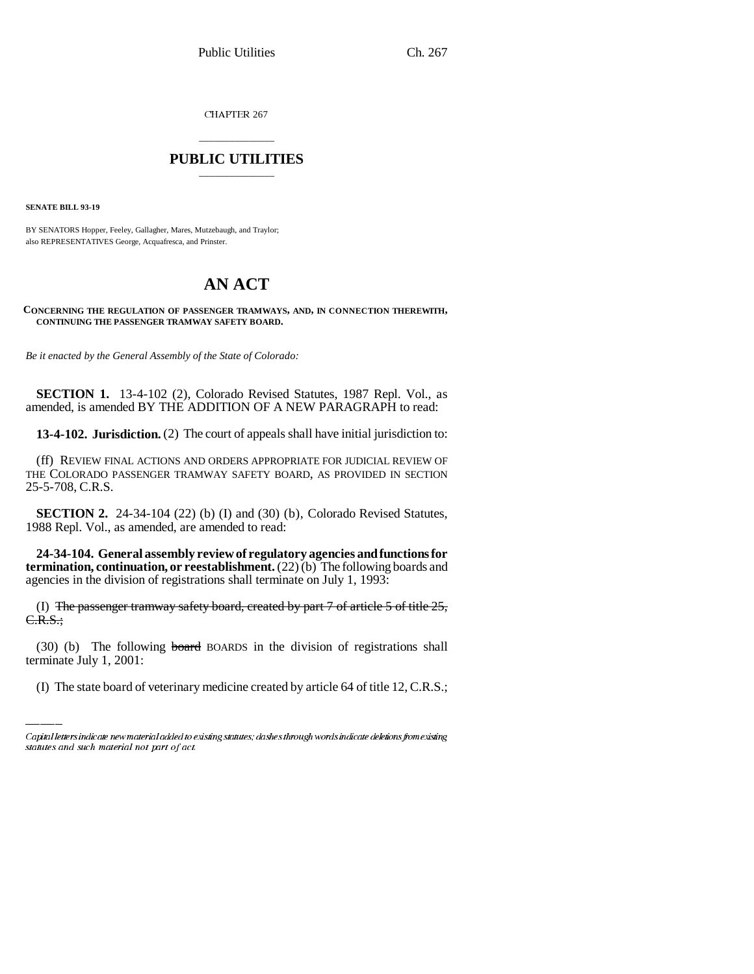CHAPTER 267

## \_\_\_\_\_\_\_\_\_\_\_\_\_\_\_ **PUBLIC UTILITIES** \_\_\_\_\_\_\_\_\_\_\_\_\_\_\_

**SENATE BILL 93-19**

BY SENATORS Hopper, Feeley, Gallagher, Mares, Mutzebaugh, and Traylor; also REPRESENTATIVES George, Acquafresca, and Prinster.

# **AN ACT**

**CONCERNING THE REGULATION OF PASSENGER TRAMWAYS, AND, IN CONNECTION THEREWITH, CONTINUING THE PASSENGER TRAMWAY SAFETY BOARD.**

*Be it enacted by the General Assembly of the State of Colorado:*

**SECTION 1.** 13-4-102 (2), Colorado Revised Statutes, 1987 Repl. Vol., as amended, is amended BY THE ADDITION OF A NEW PARAGRAPH to read:

**13-4-102. Jurisdiction.** (2) The court of appeals shall have initial jurisdiction to:

(ff) REVIEW FINAL ACTIONS AND ORDERS APPROPRIATE FOR JUDICIAL REVIEW OF THE COLORADO PASSENGER TRAMWAY SAFETY BOARD, AS PROVIDED IN SECTION 25-5-708, C.R.S.

**SECTION 2.** 24-34-104 (22) (b) (I) and (30) (b), Colorado Revised Statutes, 1988 Repl. Vol., as amended, are amended to read:

**24-34-104. General assembly review of regulatory agencies and functions for termination, continuation, or reestablishment.** (22) (b) The following boards and agencies in the division of registrations shall terminate on July 1, 1993:

 (I) The passenger tramway safety board, created by part  $7$  of article  $5$  of title  $25$ , C.R.S.;

(30) (b) The following board BOARDS in the division of registrations shall terminate July 1, 2001:

(I) The state board of veterinary medicine created by article 64 of title 12, C.R.S.;

Capital letters indicate new material added to existing statutes; dashes through words indicate deletions from existing statutes and such material not part of act.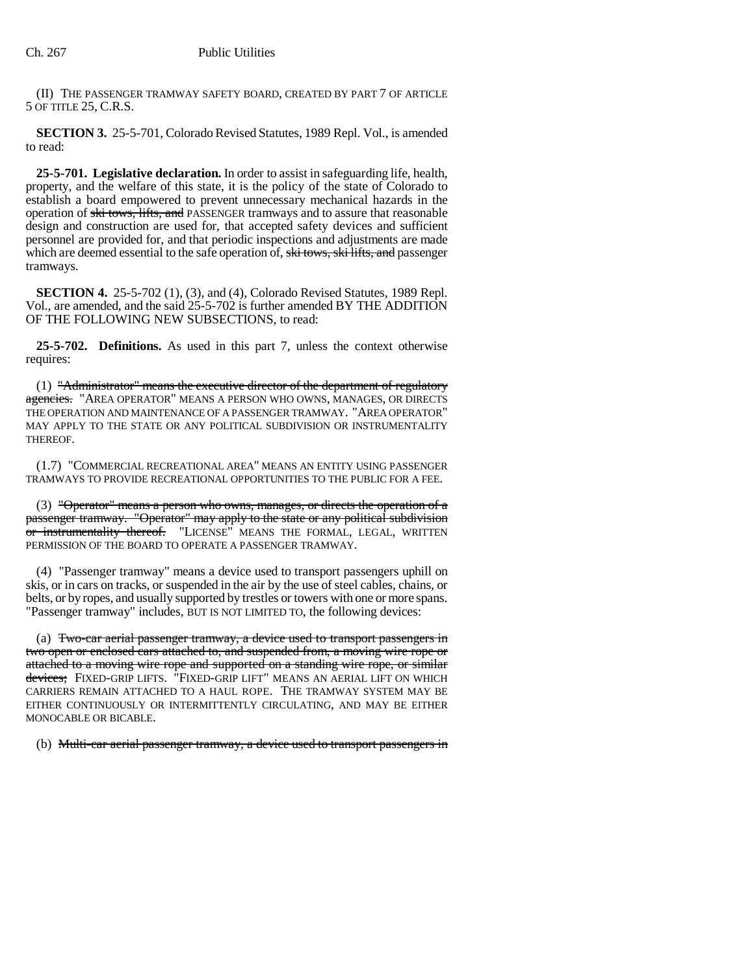(II) THE PASSENGER TRAMWAY SAFETY BOARD, CREATED BY PART 7 OF ARTICLE 5 OF TITLE 25, C.R.S.

**SECTION 3.** 25-5-701, Colorado Revised Statutes, 1989 Repl. Vol., is amended to read:

**25-5-701. Legislative declaration.** In order to assist in safeguarding life, health, property, and the welfare of this state, it is the policy of the state of Colorado to establish a board empowered to prevent unnecessary mechanical hazards in the operation of ski tows, lifts, and PASSENGER tramways and to assure that reasonable design and construction are used for, that accepted safety devices and sufficient personnel are provided for, and that periodic inspections and adjustments are made which are deemed essential to the safe operation of, ski tows, ski lifts, and passenger tramways.

**SECTION 4.** 25-5-702 (1), (3), and (4), Colorado Revised Statutes, 1989 Repl. Vol., are amended, and the said 25-5-702 is further amended BY THE ADDITION OF THE FOLLOWING NEW SUBSECTIONS, to read:

**25-5-702. Definitions.** As used in this part 7, unless the context otherwise requires:

(1) "Administrator" means the executive director of the department of regulatory agencies. "AREA OPERATOR" MEANS A PERSON WHO OWNS, MANAGES, OR DIRECTS THE OPERATION AND MAINTENANCE OF A PASSENGER TRAMWAY. "AREA OPERATOR" MAY APPLY TO THE STATE OR ANY POLITICAL SUBDIVISION OR INSTRUMENTALITY THEREOF.

(1.7) "COMMERCIAL RECREATIONAL AREA" MEANS AN ENTITY USING PASSENGER TRAMWAYS TO PROVIDE RECREATIONAL OPPORTUNITIES TO THE PUBLIC FOR A FEE.

(3) "Operator" means a person who owns, manages, or directs the operation of a passenger tramway. "Operator" may apply to the state or any political subdivision or instrumentality thereof. "LICENSE" MEANS THE FORMAL, LEGAL, WRITTEN PERMISSION OF THE BOARD TO OPERATE A PASSENGER TRAMWAY.

(4) "Passenger tramway" means a device used to transport passengers uphill on skis, or in cars on tracks, or suspended in the air by the use of steel cables, chains, or belts, or by ropes, and usually supported by trestles or towers with one or more spans. "Passenger tramway" includes, BUT IS NOT LIMITED TO, the following devices:

(a) Two-car aerial passenger tramway, a device used to transport passengers in two open or enclosed cars attached to, and suspended from, a moving wire rope or attached to a moving wire rope and supported on a standing wire rope, or similar devices; FIXED-GRIP LIFTS. "FIXED-GRIP LIFT" MEANS AN AERIAL LIFT ON WHICH CARRIERS REMAIN ATTACHED TO A HAUL ROPE. THE TRAMWAY SYSTEM MAY BE EITHER CONTINUOUSLY OR INTERMITTENTLY CIRCULATING, AND MAY BE EITHER MONOCABLE OR BICABLE.

(b) Multi-car aerial passenger tramway, a device used to transport passengers in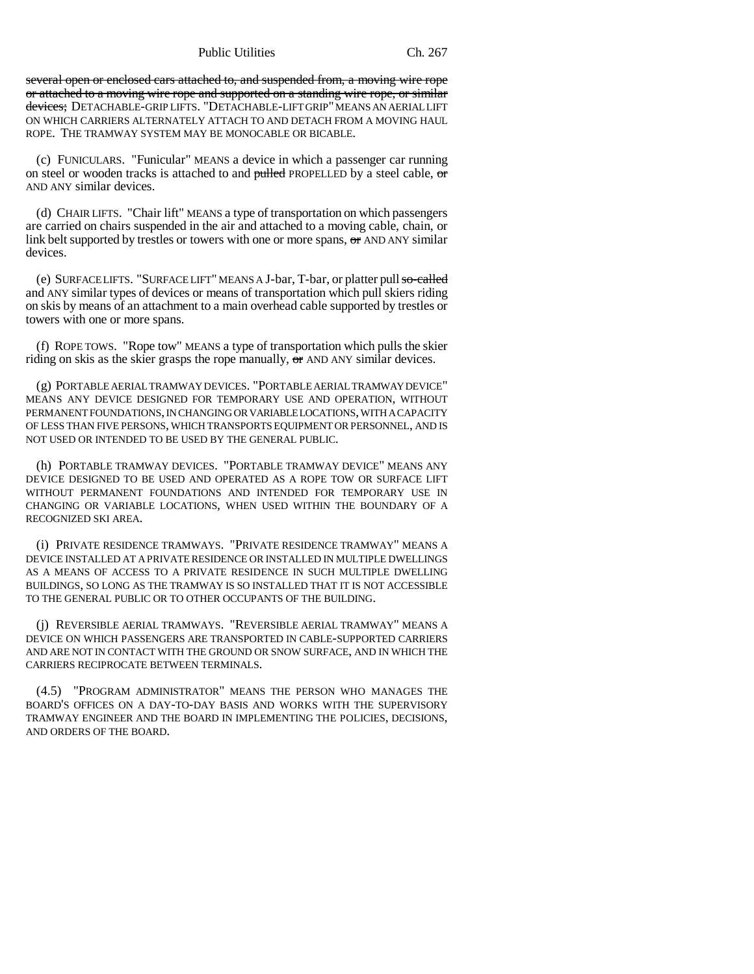Public Utilities Ch. 267

several open or enclosed cars attached to, and suspended from, a moving wire rope or attached to a moving wire rope and supported on a standing wire rope, or similar devices; DETACHABLE-GRIP LIFTS. "DETACHABLE-LIFT GRIP" MEANS AN AERIAL LIFT ON WHICH CARRIERS ALTERNATELY ATTACH TO AND DETACH FROM A MOVING HAUL ROPE. THE TRAMWAY SYSTEM MAY BE MONOCABLE OR BICABLE.

(c) FUNICULARS. "Funicular" MEANS a device in which a passenger car running on steel or wooden tracks is attached to and pulled PROPELLED by a steel cable, or AND ANY similar devices.

(d) CHAIR LIFTS. "Chair lift" MEANS a type of transportation on which passengers are carried on chairs suspended in the air and attached to a moving cable, chain, or link belt supported by trestles or towers with one or more spans,  $\sigma$  AND ANY similar devices.

(e) SURFACELIFTS. "SURFACELIFT" MEANS A J-bar, T-bar, or platter pull so-called and ANY similar types of devices or means of transportation which pull skiers riding on skis by means of an attachment to a main overhead cable supported by trestles or towers with one or more spans.

(f) ROPE TOWS. "Rope tow" MEANS a type of transportation which pulls the skier riding on skis as the skier grasps the rope manually,  $\sigma$  and  $\sigma$  ANY similar devices.

(g) PORTABLE AERIAL TRAMWAY DEVICES. "PORTABLE AERIAL TRAMWAY DEVICE" MEANS ANY DEVICE DESIGNED FOR TEMPORARY USE AND OPERATION, WITHOUT PERMANENT FOUNDATIONS, IN CHANGING OR VARIABLE LOCATIONS, WITH A CAPACITY OF LESS THAN FIVE PERSONS, WHICH TRANSPORTS EQUIPMENT OR PERSONNEL, AND IS NOT USED OR INTENDED TO BE USED BY THE GENERAL PUBLIC.

(h) PORTABLE TRAMWAY DEVICES. "PORTABLE TRAMWAY DEVICE" MEANS ANY DEVICE DESIGNED TO BE USED AND OPERATED AS A ROPE TOW OR SURFACE LIFT WITHOUT PERMANENT FOUNDATIONS AND INTENDED FOR TEMPORARY USE IN CHANGING OR VARIABLE LOCATIONS, WHEN USED WITHIN THE BOUNDARY OF A RECOGNIZED SKI AREA.

(i) PRIVATE RESIDENCE TRAMWAYS. "PRIVATE RESIDENCE TRAMWAY" MEANS A DEVICE INSTALLED AT A PRIVATE RESIDENCE OR INSTALLED IN MULTIPLE DWELLINGS AS A MEANS OF ACCESS TO A PRIVATE RESIDENCE IN SUCH MULTIPLE DWELLING BUILDINGS, SO LONG AS THE TRAMWAY IS SO INSTALLED THAT IT IS NOT ACCESSIBLE TO THE GENERAL PUBLIC OR TO OTHER OCCUPANTS OF THE BUILDING.

(j) REVERSIBLE AERIAL TRAMWAYS. "REVERSIBLE AERIAL TRAMWAY" MEANS A DEVICE ON WHICH PASSENGERS ARE TRANSPORTED IN CABLE-SUPPORTED CARRIERS AND ARE NOT IN CONTACT WITH THE GROUND OR SNOW SURFACE, AND IN WHICH THE CARRIERS RECIPROCATE BETWEEN TERMINALS.

(4.5) "PROGRAM ADMINISTRATOR" MEANS THE PERSON WHO MANAGES THE BOARD'S OFFICES ON A DAY-TO-DAY BASIS AND WORKS WITH THE SUPERVISORY TRAMWAY ENGINEER AND THE BOARD IN IMPLEMENTING THE POLICIES, DECISIONS, AND ORDERS OF THE BOARD.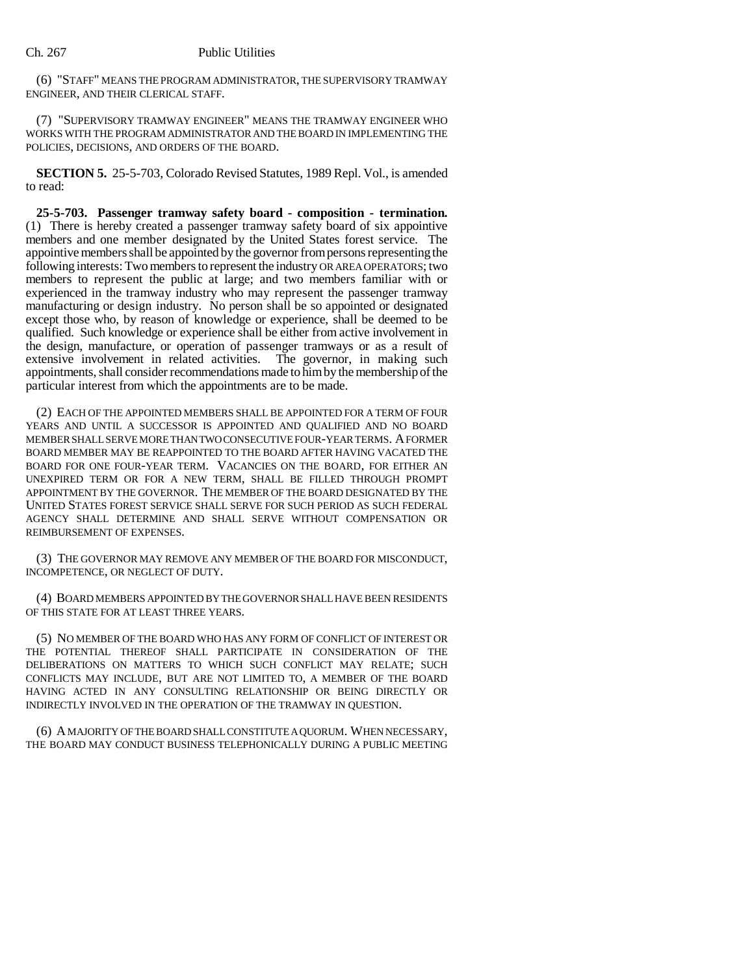(6) "STAFF" MEANS THE PROGRAM ADMINISTRATOR, THE SUPERVISORY TRAMWAY ENGINEER, AND THEIR CLERICAL STAFF.

(7) "SUPERVISORY TRAMWAY ENGINEER" MEANS THE TRAMWAY ENGINEER WHO WORKS WITH THE PROGRAM ADMINISTRATOR AND THE BOARD IN IMPLEMENTING THE POLICIES, DECISIONS, AND ORDERS OF THE BOARD.

**SECTION 5.** 25-5-703, Colorado Revised Statutes, 1989 Repl. Vol., is amended to read:

**25-5-703. Passenger tramway safety board - composition - termination.** (1) There is hereby created a passenger tramway safety board of six appointive members and one member designated by the United States forest service. The appointive members shall be appointed by the governor from persons representing the following interests: Two members to represent the industry OR AREA OPERATORS; two members to represent the public at large; and two members familiar with or experienced in the tramway industry who may represent the passenger tramway manufacturing or design industry. No person shall be so appointed or designated except those who, by reason of knowledge or experience, shall be deemed to be qualified. Such knowledge or experience shall be either from active involvement in the design, manufacture, or operation of passenger tramways or as a result of extensive involvement in related activities. The governor, in making such appointments, shall consider recommendations made to him by the membership of the particular interest from which the appointments are to be made.

(2) EACH OF THE APPOINTED MEMBERS SHALL BE APPOINTED FOR A TERM OF FOUR YEARS AND UNTIL A SUCCESSOR IS APPOINTED AND QUALIFIED AND NO BOARD MEMBER SHALL SERVE MORE THAN TWO CONSECUTIVE FOUR-YEAR TERMS. A FORMER BOARD MEMBER MAY BE REAPPOINTED TO THE BOARD AFTER HAVING VACATED THE BOARD FOR ONE FOUR-YEAR TERM. VACANCIES ON THE BOARD, FOR EITHER AN UNEXPIRED TERM OR FOR A NEW TERM, SHALL BE FILLED THROUGH PROMPT APPOINTMENT BY THE GOVERNOR. THE MEMBER OF THE BOARD DESIGNATED BY THE UNITED STATES FOREST SERVICE SHALL SERVE FOR SUCH PERIOD AS SUCH FEDERAL AGENCY SHALL DETERMINE AND SHALL SERVE WITHOUT COMPENSATION OR REIMBURSEMENT OF EXPENSES.

(3) THE GOVERNOR MAY REMOVE ANY MEMBER OF THE BOARD FOR MISCONDUCT, INCOMPETENCE, OR NEGLECT OF DUTY.

(4) BOARD MEMBERS APPOINTED BY THE GOVERNOR SHALL HAVE BEEN RESIDENTS OF THIS STATE FOR AT LEAST THREE YEARS.

(5) NO MEMBER OF THE BOARD WHO HAS ANY FORM OF CONFLICT OF INTEREST OR THE POTENTIAL THEREOF SHALL PARTICIPATE IN CONSIDERATION OF THE DELIBERATIONS ON MATTERS TO WHICH SUCH CONFLICT MAY RELATE; SUCH CONFLICTS MAY INCLUDE, BUT ARE NOT LIMITED TO, A MEMBER OF THE BOARD HAVING ACTED IN ANY CONSULTING RELATIONSHIP OR BEING DIRECTLY OR INDIRECTLY INVOLVED IN THE OPERATION OF THE TRAMWAY IN QUESTION.

(6) A MAJORITY OF THE BOARD SHALL CONSTITUTE A QUORUM. WHEN NECESSARY, THE BOARD MAY CONDUCT BUSINESS TELEPHONICALLY DURING A PUBLIC MEETING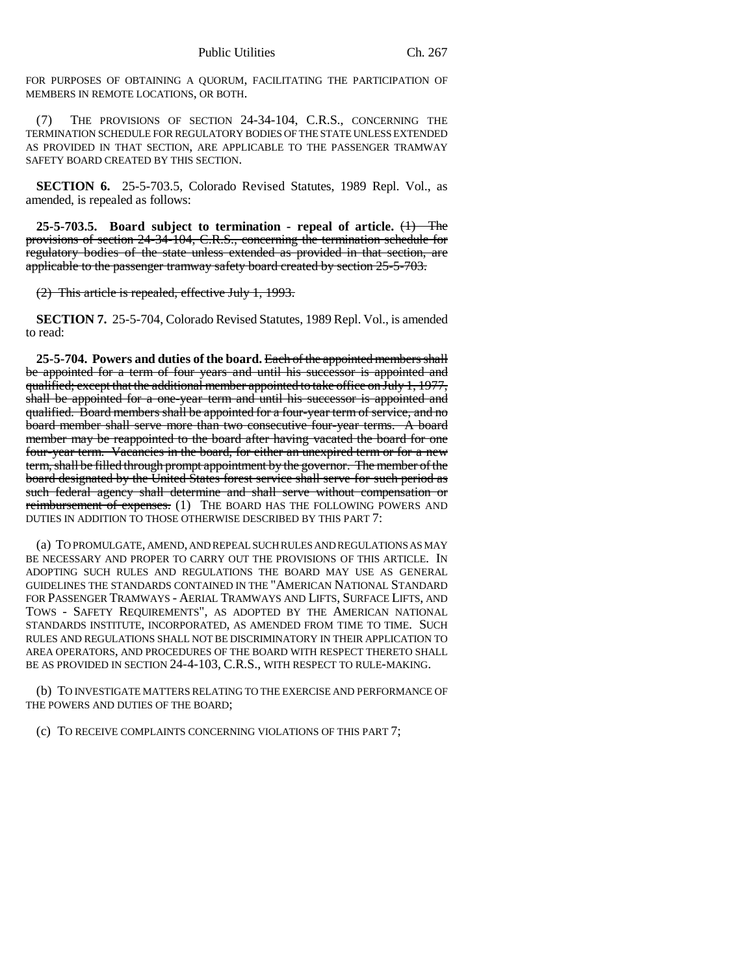FOR PURPOSES OF OBTAINING A QUORUM, FACILITATING THE PARTICIPATION OF MEMBERS IN REMOTE LOCATIONS, OR BOTH.

(7) THE PROVISIONS OF SECTION 24-34-104, C.R.S., CONCERNING THE TERMINATION SCHEDULE FOR REGULATORY BODIES OF THE STATE UNLESS EXTENDED AS PROVIDED IN THAT SECTION, ARE APPLICABLE TO THE PASSENGER TRAMWAY SAFETY BOARD CREATED BY THIS SECTION.

**SECTION 6.** 25-5-703.5, Colorado Revised Statutes, 1989 Repl. Vol., as amended, is repealed as follows:

**25-5-703.5. Board subject to termination - repeal of article.** (1) The provisions of section 24-34-104, C.R.S., concerning the termination schedule for regulatory bodies of the state unless extended as provided in that section, are applicable to the passenger tramway safety board created by section 25-5-703.

(2) This article is repealed, effective July 1, 1993.

**SECTION 7.** 25-5-704, Colorado Revised Statutes, 1989 Repl. Vol., is amended to read:

**25-5-704. Powers and duties of the board.** Each of the appointed members shall be appointed for a term of four years and until his successor is appointed and qualified; except that the additional member appointed to take office on July 1, 1977, shall be appointed for a one-year term and until his successor is appointed and qualified. Board members shall be appointed for a four-year term of service, and no board member shall serve more than two consecutive four-year terms. A board member may be reappointed to the board after having vacated the board for one four-year term. Vacancies in the board, for either an unexpired term or for a new term, shall be filled through prompt appointment by the governor. The member of the board designated by the United States forest service shall serve for such period as such federal agency shall determine and shall serve without compensation or reimbursement of expenses. (1) THE BOARD HAS THE FOLLOWING POWERS AND DUTIES IN ADDITION TO THOSE OTHERWISE DESCRIBED BY THIS PART 7:

(a) TO PROMULGATE, AMEND, AND REPEAL SUCH RULES AND REGULATIONS AS MAY BE NECESSARY AND PROPER TO CARRY OUT THE PROVISIONS OF THIS ARTICLE. IN ADOPTING SUCH RULES AND REGULATIONS THE BOARD MAY USE AS GENERAL GUIDELINES THE STANDARDS CONTAINED IN THE "AMERICAN NATIONAL STANDARD FOR PASSENGER TRAMWAYS - AERIAL TRAMWAYS AND LIFTS, SURFACE LIFTS, AND TOWS - SAFETY REQUIREMENTS", AS ADOPTED BY THE AMERICAN NATIONAL STANDARDS INSTITUTE, INCORPORATED, AS AMENDED FROM TIME TO TIME. SUCH RULES AND REGULATIONS SHALL NOT BE DISCRIMINATORY IN THEIR APPLICATION TO AREA OPERATORS, AND PROCEDURES OF THE BOARD WITH RESPECT THERETO SHALL BE AS PROVIDED IN SECTION 24-4-103, C.R.S., WITH RESPECT TO RULE-MAKING.

(b) TO INVESTIGATE MATTERS RELATING TO THE EXERCISE AND PERFORMANCE OF THE POWERS AND DUTIES OF THE BOARD;

(c) TO RECEIVE COMPLAINTS CONCERNING VIOLATIONS OF THIS PART 7;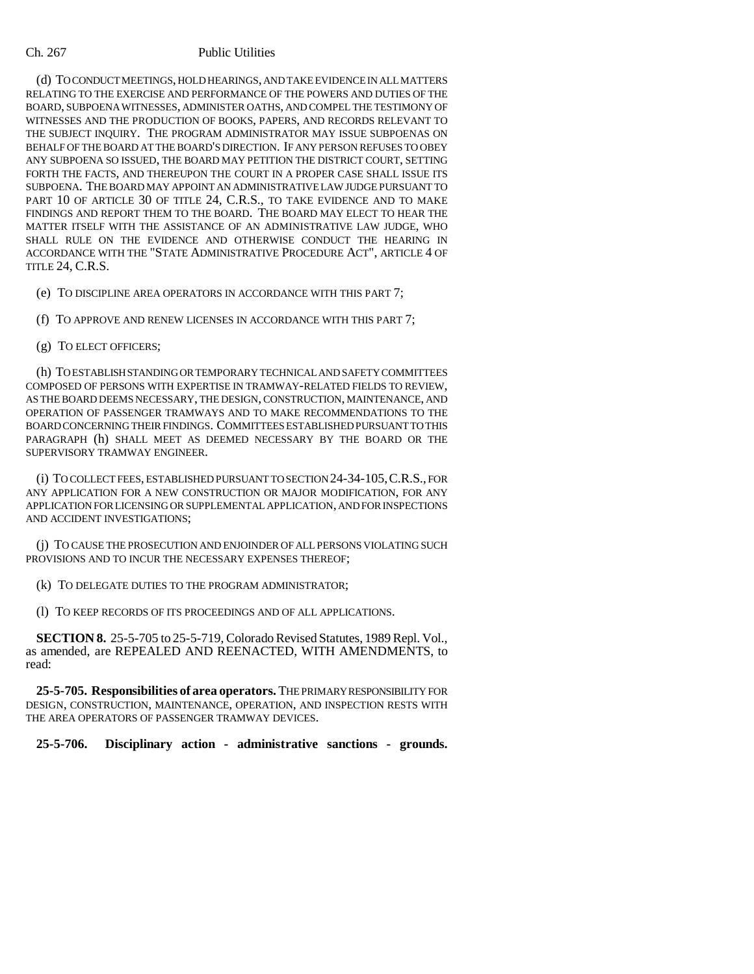(d) TO CONDUCT MEETINGS, HOLD HEARINGS, AND TAKE EVIDENCE IN ALL MATTERS RELATING TO THE EXERCISE AND PERFORMANCE OF THE POWERS AND DUTIES OF THE BOARD, SUBPOENA WITNESSES, ADMINISTER OATHS, AND COMPEL THE TESTIMONY OF WITNESSES AND THE PRODUCTION OF BOOKS, PAPERS, AND RECORDS RELEVANT TO THE SUBJECT INQUIRY. THE PROGRAM ADMINISTRATOR MAY ISSUE SUBPOENAS ON BEHALF OF THE BOARD AT THE BOARD'S DIRECTION. IF ANY PERSON REFUSES TO OBEY ANY SUBPOENA SO ISSUED, THE BOARD MAY PETITION THE DISTRICT COURT, SETTING FORTH THE FACTS, AND THEREUPON THE COURT IN A PROPER CASE SHALL ISSUE ITS SUBPOENA. THE BOARD MAY APPOINT AN ADMINISTRATIVE LAW JUDGE PURSUANT TO PART 10 OF ARTICLE 30 OF TITLE 24, C.R.S., TO TAKE EVIDENCE AND TO MAKE FINDINGS AND REPORT THEM TO THE BOARD. THE BOARD MAY ELECT TO HEAR THE MATTER ITSELF WITH THE ASSISTANCE OF AN ADMINISTRATIVE LAW JUDGE, WHO SHALL RULE ON THE EVIDENCE AND OTHERWISE CONDUCT THE HEARING IN ACCORDANCE WITH THE "STATE ADMINISTRATIVE PROCEDURE ACT", ARTICLE 4 OF TITLE 24, C.R.S.

(e) TO DISCIPLINE AREA OPERATORS IN ACCORDANCE WITH THIS PART 7;

(f) TO APPROVE AND RENEW LICENSES IN ACCORDANCE WITH THIS PART 7;

(g) TO ELECT OFFICERS;

(h) TO ESTABLISH STANDING OR TEMPORARY TECHNICAL AND SAFETY COMMITTEES COMPOSED OF PERSONS WITH EXPERTISE IN TRAMWAY-RELATED FIELDS TO REVIEW, AS THE BOARD DEEMS NECESSARY, THE DESIGN, CONSTRUCTION, MAINTENANCE, AND OPERATION OF PASSENGER TRAMWAYS AND TO MAKE RECOMMENDATIONS TO THE BOARD CONCERNING THEIR FINDINGS. COMMITTEES ESTABLISHED PURSUANT TO THIS PARAGRAPH (h) SHALL MEET AS DEEMED NECESSARY BY THE BOARD OR THE SUPERVISORY TRAMWAY ENGINEER.

(i) TO COLLECT FEES, ESTABLISHED PURSUANT TO SECTION 24-34-105,C.R.S., FOR ANY APPLICATION FOR A NEW CONSTRUCTION OR MAJOR MODIFICATION, FOR ANY APPLICATION FOR LICENSING OR SUPPLEMENTAL APPLICATION, AND FOR INSPECTIONS AND ACCIDENT INVESTIGATIONS;

(j) TO CAUSE THE PROSECUTION AND ENJOINDER OF ALL PERSONS VIOLATING SUCH PROVISIONS AND TO INCUR THE NECESSARY EXPENSES THEREOF;

(k) TO DELEGATE DUTIES TO THE PROGRAM ADMINISTRATOR;

(l) TO KEEP RECORDS OF ITS PROCEEDINGS AND OF ALL APPLICATIONS.

**SECTION 8.** 25-5-705 to 25-5-719, Colorado Revised Statutes, 1989 Repl. Vol., as amended, are REPEALED AND REENACTED, WITH AMENDMENTS, to read:

**25-5-705. Responsibilities of area operators.** THE PRIMARY RESPONSIBILITY FOR DESIGN, CONSTRUCTION, MAINTENANCE, OPERATION, AND INSPECTION RESTS WITH THE AREA OPERATORS OF PASSENGER TRAMWAY DEVICES.

**25-5-706. Disciplinary action - administrative sanctions - grounds.**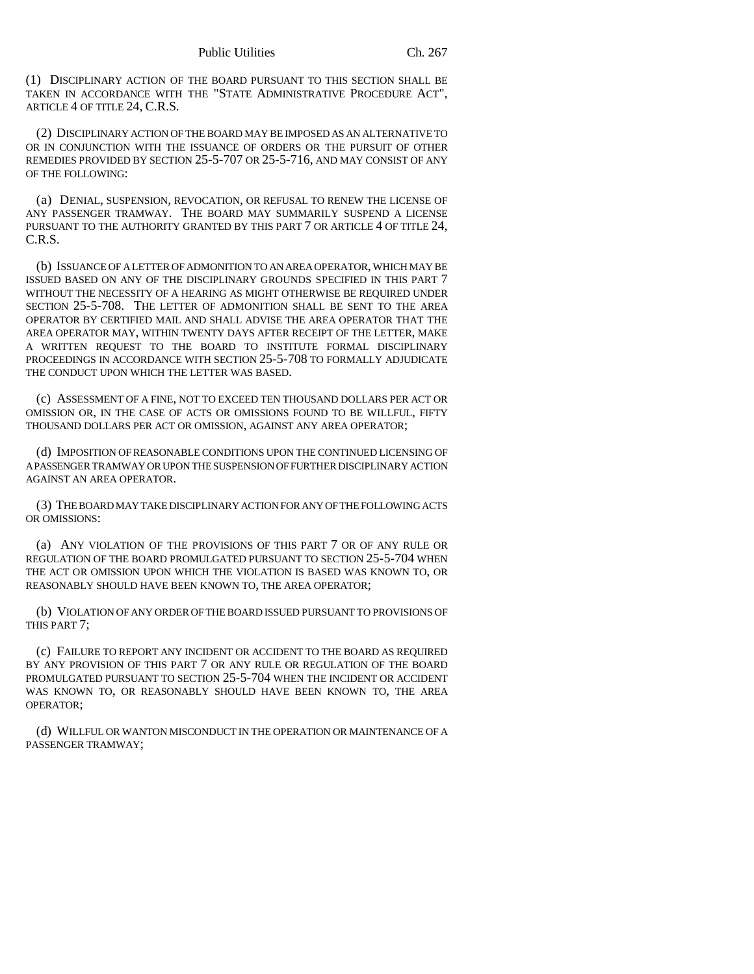(1) DISCIPLINARY ACTION OF THE BOARD PURSUANT TO THIS SECTION SHALL BE TAKEN IN ACCORDANCE WITH THE "STATE ADMINISTRATIVE PROCEDURE ACT", ARTICLE 4 OF TITLE 24, C.R.S.

(2) DISCIPLINARY ACTION OF THE BOARD MAY BE IMPOSED AS AN ALTERNATIVE TO OR IN CONJUNCTION WITH THE ISSUANCE OF ORDERS OR THE PURSUIT OF OTHER REMEDIES PROVIDED BY SECTION 25-5-707 OR 25-5-716, AND MAY CONSIST OF ANY OF THE FOLLOWING:

(a) DENIAL, SUSPENSION, REVOCATION, OR REFUSAL TO RENEW THE LICENSE OF ANY PASSENGER TRAMWAY. THE BOARD MAY SUMMARILY SUSPEND A LICENSE PURSUANT TO THE AUTHORITY GRANTED BY THIS PART 7 OR ARTICLE 4 OF TITLE 24, C.R.S.

(b) ISSUANCE OF A LETTER OF ADMONITION TO AN AREA OPERATOR, WHICH MAY BE ISSUED BASED ON ANY OF THE DISCIPLINARY GROUNDS SPECIFIED IN THIS PART 7 WITHOUT THE NECESSITY OF A HEARING AS MIGHT OTHERWISE BE REQUIRED UNDER SECTION 25-5-708. THE LETTER OF ADMONITION SHALL BE SENT TO THE AREA OPERATOR BY CERTIFIED MAIL AND SHALL ADVISE THE AREA OPERATOR THAT THE AREA OPERATOR MAY, WITHIN TWENTY DAYS AFTER RECEIPT OF THE LETTER, MAKE A WRITTEN REQUEST TO THE BOARD TO INSTITUTE FORMAL DISCIPLINARY PROCEEDINGS IN ACCORDANCE WITH SECTION 25-5-708 TO FORMALLY ADJUDICATE THE CONDUCT UPON WHICH THE LETTER WAS BASED.

(c) ASSESSMENT OF A FINE, NOT TO EXCEED TEN THOUSAND DOLLARS PER ACT OR OMISSION OR, IN THE CASE OF ACTS OR OMISSIONS FOUND TO BE WILLFUL, FIFTY THOUSAND DOLLARS PER ACT OR OMISSION, AGAINST ANY AREA OPERATOR;

(d) IMPOSITION OF REASONABLE CONDITIONS UPON THE CONTINUED LICENSING OF A PASSENGER TRAMWAY OR UPON THE SUSPENSION OF FURTHER DISCIPLINARY ACTION AGAINST AN AREA OPERATOR.

(3) THE BOARD MAY TAKE DISCIPLINARY ACTION FOR ANY OF THE FOLLOWING ACTS OR OMISSIONS:

(a) ANY VIOLATION OF THE PROVISIONS OF THIS PART 7 OR OF ANY RULE OR REGULATION OF THE BOARD PROMULGATED PURSUANT TO SECTION 25-5-704 WHEN THE ACT OR OMISSION UPON WHICH THE VIOLATION IS BASED WAS KNOWN TO, OR REASONABLY SHOULD HAVE BEEN KNOWN TO, THE AREA OPERATOR;

(b) VIOLATION OF ANY ORDER OF THE BOARD ISSUED PURSUANT TO PROVISIONS OF THIS PART 7;

(c) FAILURE TO REPORT ANY INCIDENT OR ACCIDENT TO THE BOARD AS REQUIRED BY ANY PROVISION OF THIS PART 7 OR ANY RULE OR REGULATION OF THE BOARD PROMULGATED PURSUANT TO SECTION 25-5-704 WHEN THE INCIDENT OR ACCIDENT WAS KNOWN TO, OR REASONABLY SHOULD HAVE BEEN KNOWN TO, THE AREA OPERATOR;

(d) WILLFUL OR WANTON MISCONDUCT IN THE OPERATION OR MAINTENANCE OF A PASSENGER TRAMWAY;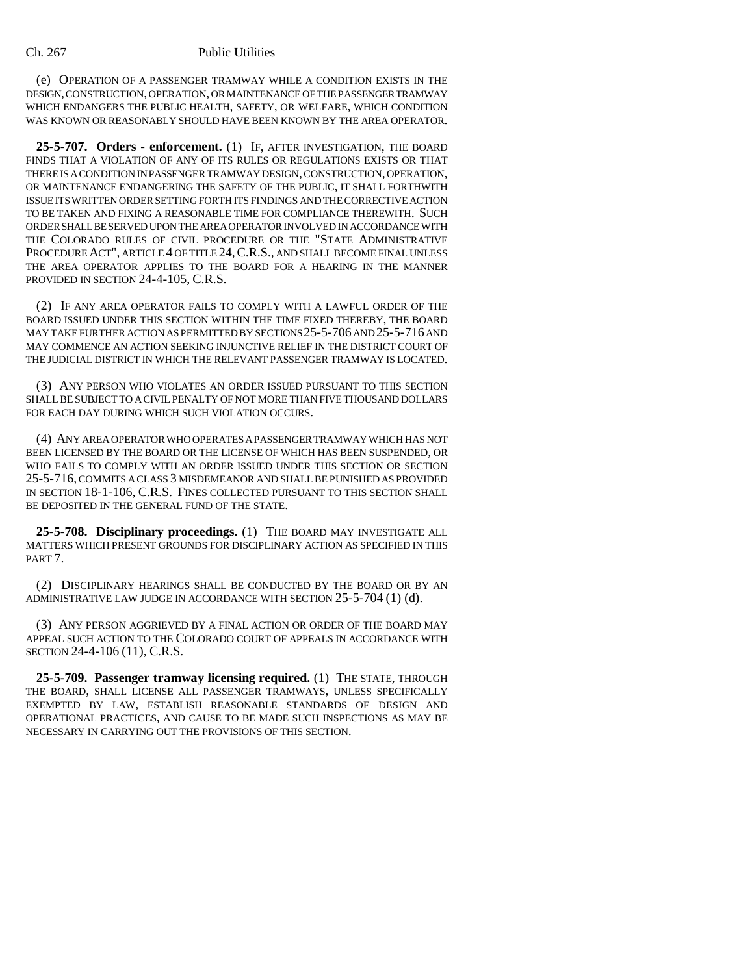(e) OPERATION OF A PASSENGER TRAMWAY WHILE A CONDITION EXISTS IN THE DESIGN, CONSTRUCTION, OPERATION, OR MAINTENANCE OF THE PASSENGER TRAMWAY WHICH ENDANGERS THE PUBLIC HEALTH, SAFETY, OR WELFARE, WHICH CONDITION WAS KNOWN OR REASONABLY SHOULD HAVE BEEN KNOWN BY THE AREA OPERATOR.

**25-5-707. Orders - enforcement.** (1) IF, AFTER INVESTIGATION, THE BOARD FINDS THAT A VIOLATION OF ANY OF ITS RULES OR REGULATIONS EXISTS OR THAT THERE IS A CONDITION IN PASSENGER TRAMWAY DESIGN, CONSTRUCTION, OPERATION, OR MAINTENANCE ENDANGERING THE SAFETY OF THE PUBLIC, IT SHALL FORTHWITH ISSUE ITS WRITTEN ORDER SETTING FORTH ITS FINDINGS AND THE CORRECTIVE ACTION TO BE TAKEN AND FIXING A REASONABLE TIME FOR COMPLIANCE THEREWITH. SUCH ORDER SHALL BE SERVED UPON THE AREA OPERATOR INVOLVED IN ACCORDANCE WITH THE COLORADO RULES OF CIVIL PROCEDURE OR THE "STATE ADMINISTRATIVE PROCEDURE ACT", ARTICLE 4 OF TITLE 24,C.R.S., AND SHALL BECOME FINAL UNLESS THE AREA OPERATOR APPLIES TO THE BOARD FOR A HEARING IN THE MANNER PROVIDED IN SECTION 24-4-105, C.R.S.

(2) IF ANY AREA OPERATOR FAILS TO COMPLY WITH A LAWFUL ORDER OF THE BOARD ISSUED UNDER THIS SECTION WITHIN THE TIME FIXED THEREBY, THE BOARD MAY TAKE FURTHER ACTION AS PERMITTED BY SECTIONS 25-5-706 AND 25-5-716 AND MAY COMMENCE AN ACTION SEEKING INJUNCTIVE RELIEF IN THE DISTRICT COURT OF THE JUDICIAL DISTRICT IN WHICH THE RELEVANT PASSENGER TRAMWAY IS LOCATED.

(3) ANY PERSON WHO VIOLATES AN ORDER ISSUED PURSUANT TO THIS SECTION SHALL BE SUBJECT TO A CIVIL PENALTY OF NOT MORE THAN FIVE THOUSAND DOLLARS FOR EACH DAY DURING WHICH SUCH VIOLATION OCCURS.

(4) ANY AREA OPERATOR WHO OPERATES A PASSENGER TRAMWAY WHICH HAS NOT BEEN LICENSED BY THE BOARD OR THE LICENSE OF WHICH HAS BEEN SUSPENDED, OR WHO FAILS TO COMPLY WITH AN ORDER ISSUED UNDER THIS SECTION OR SECTION 25-5-716, COMMITS A CLASS 3 MISDEMEANOR AND SHALL BE PUNISHED AS PROVIDED IN SECTION 18-1-106, C.R.S. FINES COLLECTED PURSUANT TO THIS SECTION SHALL BE DEPOSITED IN THE GENERAL FUND OF THE STATE.

**25-5-708. Disciplinary proceedings.** (1) THE BOARD MAY INVESTIGATE ALL MATTERS WHICH PRESENT GROUNDS FOR DISCIPLINARY ACTION AS SPECIFIED IN THIS PART 7.

(2) DISCIPLINARY HEARINGS SHALL BE CONDUCTED BY THE BOARD OR BY AN ADMINISTRATIVE LAW JUDGE IN ACCORDANCE WITH SECTION 25-5-704 (1) (d).

(3) ANY PERSON AGGRIEVED BY A FINAL ACTION OR ORDER OF THE BOARD MAY APPEAL SUCH ACTION TO THE COLORADO COURT OF APPEALS IN ACCORDANCE WITH SECTION 24-4-106 (11), C.R.S.

**25-5-709. Passenger tramway licensing required.** (1) THE STATE, THROUGH THE BOARD, SHALL LICENSE ALL PASSENGER TRAMWAYS, UNLESS SPECIFICALLY EXEMPTED BY LAW, ESTABLISH REASONABLE STANDARDS OF DESIGN AND OPERATIONAL PRACTICES, AND CAUSE TO BE MADE SUCH INSPECTIONS AS MAY BE NECESSARY IN CARRYING OUT THE PROVISIONS OF THIS SECTION.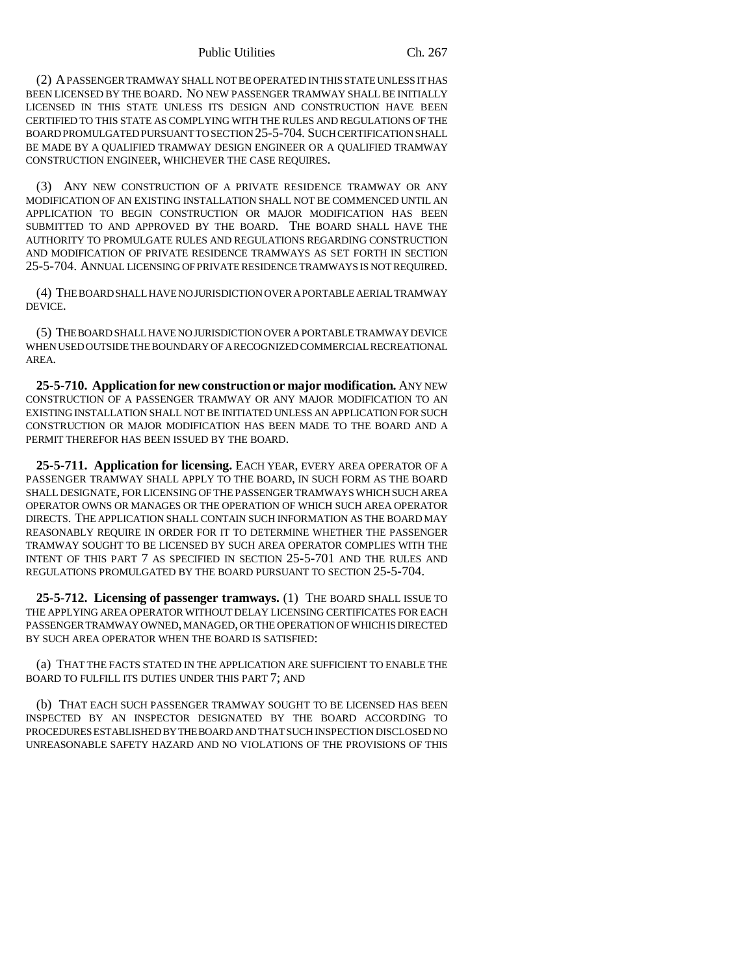#### Public Utilities Ch. 267

(2) A PASSENGER TRAMWAY SHALL NOT BE OPERATED IN THIS STATE UNLESS IT HAS BEEN LICENSED BY THE BOARD. NO NEW PASSENGER TRAMWAY SHALL BE INITIALLY LICENSED IN THIS STATE UNLESS ITS DESIGN AND CONSTRUCTION HAVE BEEN CERTIFIED TO THIS STATE AS COMPLYING WITH THE RULES AND REGULATIONS OF THE BOARD PROMULGATED PURSUANT TO SECTION 25-5-704. SUCH CERTIFICATION SHALL BE MADE BY A QUALIFIED TRAMWAY DESIGN ENGINEER OR A QUALIFIED TRAMWAY CONSTRUCTION ENGINEER, WHICHEVER THE CASE REQUIRES.

(3) ANY NEW CONSTRUCTION OF A PRIVATE RESIDENCE TRAMWAY OR ANY MODIFICATION OF AN EXISTING INSTALLATION SHALL NOT BE COMMENCED UNTIL AN APPLICATION TO BEGIN CONSTRUCTION OR MAJOR MODIFICATION HAS BEEN SUBMITTED TO AND APPROVED BY THE BOARD. THE BOARD SHALL HAVE THE AUTHORITY TO PROMULGATE RULES AND REGULATIONS REGARDING CONSTRUCTION AND MODIFICATION OF PRIVATE RESIDENCE TRAMWAYS AS SET FORTH IN SECTION 25-5-704. ANNUAL LICENSING OF PRIVATE RESIDENCE TRAMWAYS IS NOT REQUIRED.

(4) THE BOARD SHALL HAVE NO JURISDICTION OVER A PORTABLE AERIAL TRAMWAY DEVICE.

(5) THE BOARD SHALL HAVE NO JURISDICTION OVER A PORTABLE TRAMWAY DEVICE WHEN USED OUTSIDE THE BOUNDARY OF A RECOGNIZED COMMERCIAL RECREATIONAL AREA.

**25-5-710. Application for new construction or major modification.** ANY NEW CONSTRUCTION OF A PASSENGER TRAMWAY OR ANY MAJOR MODIFICATION TO AN EXISTING INSTALLATION SHALL NOT BE INITIATED UNLESS AN APPLICATION FOR SUCH CONSTRUCTION OR MAJOR MODIFICATION HAS BEEN MADE TO THE BOARD AND A PERMIT THEREFOR HAS BEEN ISSUED BY THE BOARD.

**25-5-711. Application for licensing.** EACH YEAR, EVERY AREA OPERATOR OF A PASSENGER TRAMWAY SHALL APPLY TO THE BOARD, IN SUCH FORM AS THE BOARD SHALL DESIGNATE, FOR LICENSING OF THE PASSENGER TRAMWAYS WHICH SUCH AREA OPERATOR OWNS OR MANAGES OR THE OPERATION OF WHICH SUCH AREA OPERATOR DIRECTS. THE APPLICATION SHALL CONTAIN SUCH INFORMATION AS THE BOARD MAY REASONABLY REQUIRE IN ORDER FOR IT TO DETERMINE WHETHER THE PASSENGER TRAMWAY SOUGHT TO BE LICENSED BY SUCH AREA OPERATOR COMPLIES WITH THE INTENT OF THIS PART 7 AS SPECIFIED IN SECTION 25-5-701 AND THE RULES AND REGULATIONS PROMULGATED BY THE BOARD PURSUANT TO SECTION 25-5-704.

**25-5-712. Licensing of passenger tramways.** (1) THE BOARD SHALL ISSUE TO THE APPLYING AREA OPERATOR WITHOUT DELAY LICENSING CERTIFICATES FOR EACH PASSENGER TRAMWAY OWNED, MANAGED, OR THE OPERATION OF WHICH IS DIRECTED BY SUCH AREA OPERATOR WHEN THE BOARD IS SATISFIED:

(a) THAT THE FACTS STATED IN THE APPLICATION ARE SUFFICIENT TO ENABLE THE BOARD TO FULFILL ITS DUTIES UNDER THIS PART 7; AND

(b) THAT EACH SUCH PASSENGER TRAMWAY SOUGHT TO BE LICENSED HAS BEEN INSPECTED BY AN INSPECTOR DESIGNATED BY THE BOARD ACCORDING TO PROCEDURES ESTABLISHED BY THE BOARD AND THAT SUCH INSPECTION DISCLOSED NO UNREASONABLE SAFETY HAZARD AND NO VIOLATIONS OF THE PROVISIONS OF THIS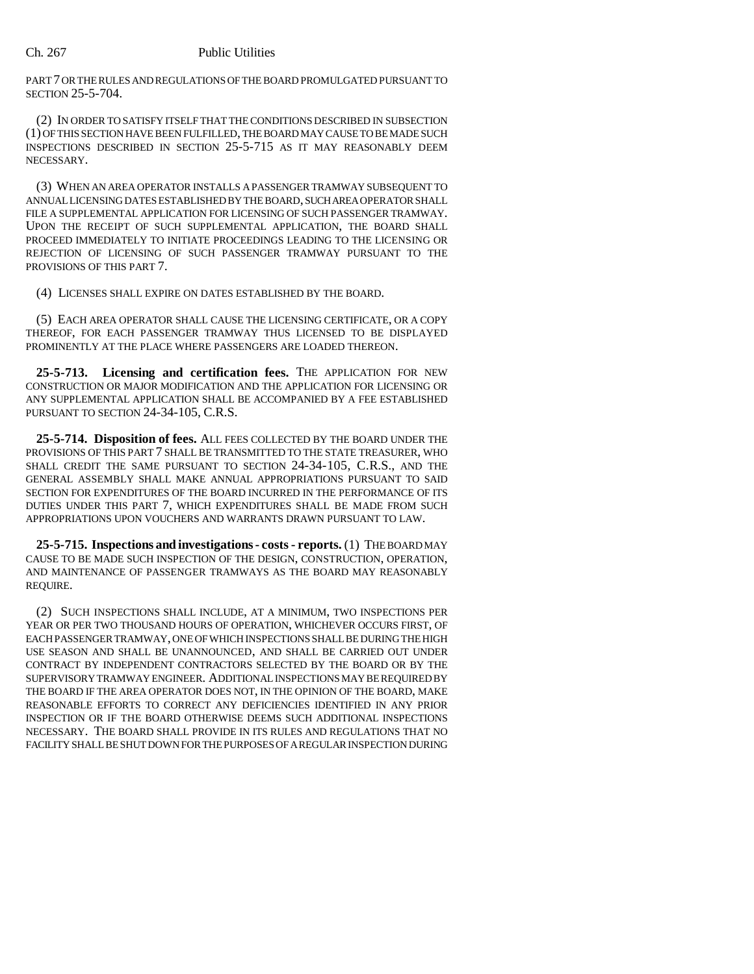PART 7 OR THE RULES AND REGULATIONS OF THE BOARD PROMULGATED PURSUANT TO SECTION 25-5-704.

(2) IN ORDER TO SATISFY ITSELF THAT THE CONDITIONS DESCRIBED IN SUBSECTION (1) OF THIS SECTION HAVE BEEN FULFILLED, THE BOARD MAY CAUSE TO BE MADE SUCH INSPECTIONS DESCRIBED IN SECTION 25-5-715 AS IT MAY REASONABLY DEEM NECESSARY.

(3) WHEN AN AREA OPERATOR INSTALLS A PASSENGER TRAMWAY SUBSEQUENT TO ANNUAL LICENSING DATES ESTABLISHED BY THE BOARD, SUCH AREA OPERATOR SHALL FILE A SUPPLEMENTAL APPLICATION FOR LICENSING OF SUCH PASSENGER TRAMWAY. UPON THE RECEIPT OF SUCH SUPPLEMENTAL APPLICATION, THE BOARD SHALL PROCEED IMMEDIATELY TO INITIATE PROCEEDINGS LEADING TO THE LICENSING OR REJECTION OF LICENSING OF SUCH PASSENGER TRAMWAY PURSUANT TO THE PROVISIONS OF THIS PART 7.

(4) LICENSES SHALL EXPIRE ON DATES ESTABLISHED BY THE BOARD.

(5) EACH AREA OPERATOR SHALL CAUSE THE LICENSING CERTIFICATE, OR A COPY THEREOF, FOR EACH PASSENGER TRAMWAY THUS LICENSED TO BE DISPLAYED PROMINENTLY AT THE PLACE WHERE PASSENGERS ARE LOADED THEREON.

**25-5-713. Licensing and certification fees.** THE APPLICATION FOR NEW CONSTRUCTION OR MAJOR MODIFICATION AND THE APPLICATION FOR LICENSING OR ANY SUPPLEMENTAL APPLICATION SHALL BE ACCOMPANIED BY A FEE ESTABLISHED PURSUANT TO SECTION 24-34-105, C.R.S.

**25-5-714. Disposition of fees.** ALL FEES COLLECTED BY THE BOARD UNDER THE PROVISIONS OF THIS PART 7 SHALL BE TRANSMITTED TO THE STATE TREASURER, WHO SHALL CREDIT THE SAME PURSUANT TO SECTION 24-34-105, C.R.S., AND THE GENERAL ASSEMBLY SHALL MAKE ANNUAL APPROPRIATIONS PURSUANT TO SAID SECTION FOR EXPENDITURES OF THE BOARD INCURRED IN THE PERFORMANCE OF ITS DUTIES UNDER THIS PART 7, WHICH EXPENDITURES SHALL BE MADE FROM SUCH APPROPRIATIONS UPON VOUCHERS AND WARRANTS DRAWN PURSUANT TO LAW.

**25-5-715. Inspections and investigations - costs - reports.** (1) THE BOARD MAY CAUSE TO BE MADE SUCH INSPECTION OF THE DESIGN, CONSTRUCTION, OPERATION, AND MAINTENANCE OF PASSENGER TRAMWAYS AS THE BOARD MAY REASONABLY REQUIRE.

(2) SUCH INSPECTIONS SHALL INCLUDE, AT A MINIMUM, TWO INSPECTIONS PER YEAR OR PER TWO THOUSAND HOURS OF OPERATION, WHICHEVER OCCURS FIRST, OF EACH PASSENGER TRAMWAY, ONE OF WHICH INSPECTIONS SHALL BE DURING THE HIGH USE SEASON AND SHALL BE UNANNOUNCED, AND SHALL BE CARRIED OUT UNDER CONTRACT BY INDEPENDENT CONTRACTORS SELECTED BY THE BOARD OR BY THE SUPERVISORY TRAMWAY ENGINEER. ADDITIONAL INSPECTIONS MAY BE REQUIRED BY THE BOARD IF THE AREA OPERATOR DOES NOT, IN THE OPINION OF THE BOARD, MAKE REASONABLE EFFORTS TO CORRECT ANY DEFICIENCIES IDENTIFIED IN ANY PRIOR INSPECTION OR IF THE BOARD OTHERWISE DEEMS SUCH ADDITIONAL INSPECTIONS NECESSARY. THE BOARD SHALL PROVIDE IN ITS RULES AND REGULATIONS THAT NO FACILITY SHALL BE SHUT DOWN FOR THE PURPOSES OF A REGULAR INSPECTION DURING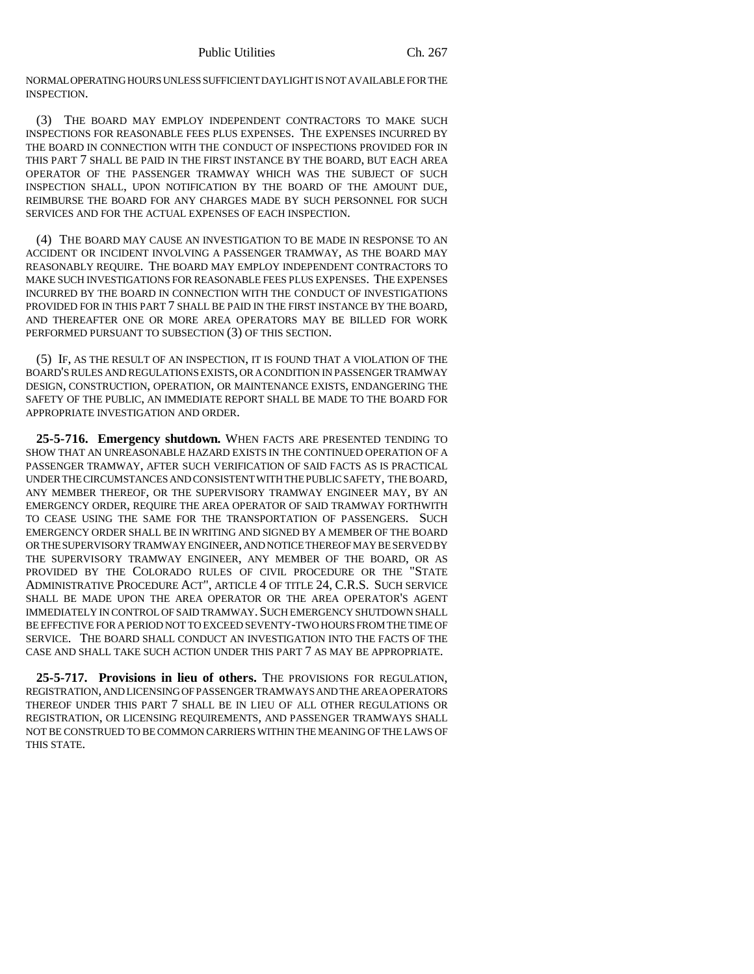NORMAL OPERATING HOURS UNLESS SUFFICIENT DAYLIGHT IS NOT AVAILABLE FOR THE INSPECTION.

(3) THE BOARD MAY EMPLOY INDEPENDENT CONTRACTORS TO MAKE SUCH INSPECTIONS FOR REASONABLE FEES PLUS EXPENSES. THE EXPENSES INCURRED BY THE BOARD IN CONNECTION WITH THE CONDUCT OF INSPECTIONS PROVIDED FOR IN THIS PART 7 SHALL BE PAID IN THE FIRST INSTANCE BY THE BOARD, BUT EACH AREA OPERATOR OF THE PASSENGER TRAMWAY WHICH WAS THE SUBJECT OF SUCH INSPECTION SHALL, UPON NOTIFICATION BY THE BOARD OF THE AMOUNT DUE, REIMBURSE THE BOARD FOR ANY CHARGES MADE BY SUCH PERSONNEL FOR SUCH SERVICES AND FOR THE ACTUAL EXPENSES OF EACH INSPECTION.

(4) THE BOARD MAY CAUSE AN INVESTIGATION TO BE MADE IN RESPONSE TO AN ACCIDENT OR INCIDENT INVOLVING A PASSENGER TRAMWAY, AS THE BOARD MAY REASONABLY REQUIRE. THE BOARD MAY EMPLOY INDEPENDENT CONTRACTORS TO MAKE SUCH INVESTIGATIONS FOR REASONABLE FEES PLUS EXPENSES. THE EXPENSES INCURRED BY THE BOARD IN CONNECTION WITH THE CONDUCT OF INVESTIGATIONS PROVIDED FOR IN THIS PART 7 SHALL BE PAID IN THE FIRST INSTANCE BY THE BOARD, AND THEREAFTER ONE OR MORE AREA OPERATORS MAY BE BILLED FOR WORK PERFORMED PURSUANT TO SUBSECTION (3) OF THIS SECTION.

(5) IF, AS THE RESULT OF AN INSPECTION, IT IS FOUND THAT A VIOLATION OF THE BOARD'S RULES AND REGULATIONS EXISTS, OR A CONDITION IN PASSENGER TRAMWAY DESIGN, CONSTRUCTION, OPERATION, OR MAINTENANCE EXISTS, ENDANGERING THE SAFETY OF THE PUBLIC, AN IMMEDIATE REPORT SHALL BE MADE TO THE BOARD FOR APPROPRIATE INVESTIGATION AND ORDER.

**25-5-716. Emergency shutdown.** WHEN FACTS ARE PRESENTED TENDING TO SHOW THAT AN UNREASONABLE HAZARD EXISTS IN THE CONTINUED OPERATION OF A PASSENGER TRAMWAY, AFTER SUCH VERIFICATION OF SAID FACTS AS IS PRACTICAL UNDER THE CIRCUMSTANCES AND CONSISTENT WITH THE PUBLIC SAFETY, THE BOARD, ANY MEMBER THEREOF, OR THE SUPERVISORY TRAMWAY ENGINEER MAY, BY AN EMERGENCY ORDER, REQUIRE THE AREA OPERATOR OF SAID TRAMWAY FORTHWITH TO CEASE USING THE SAME FOR THE TRANSPORTATION OF PASSENGERS. SUCH EMERGENCY ORDER SHALL BE IN WRITING AND SIGNED BY A MEMBER OF THE BOARD OR THE SUPERVISORY TRAMWAY ENGINEER, AND NOTICE THEREOF MAY BE SERVED BY THE SUPERVISORY TRAMWAY ENGINEER, ANY MEMBER OF THE BOARD, OR AS PROVIDED BY THE COLORADO RULES OF CIVIL PROCEDURE OR THE "STATE ADMINISTRATIVE PROCEDURE ACT", ARTICLE 4 OF TITLE 24, C.R.S. SUCH SERVICE SHALL BE MADE UPON THE AREA OPERATOR OR THE AREA OPERATOR'S AGENT IMMEDIATELY IN CONTROL OF SAID TRAMWAY. SUCH EMERGENCY SHUTDOWN SHALL BE EFFECTIVE FOR A PERIOD NOT TO EXCEED SEVENTY-TWO HOURS FROM THE TIME OF SERVICE. THE BOARD SHALL CONDUCT AN INVESTIGATION INTO THE FACTS OF THE CASE AND SHALL TAKE SUCH ACTION UNDER THIS PART 7 AS MAY BE APPROPRIATE.

**25-5-717. Provisions in lieu of others.** THE PROVISIONS FOR REGULATION, REGISTRATION, AND LICENSING OF PASSENGER TRAMWAYS AND THE AREA OPERATORS THEREOF UNDER THIS PART 7 SHALL BE IN LIEU OF ALL OTHER REGULATIONS OR REGISTRATION, OR LICENSING REQUIREMENTS, AND PASSENGER TRAMWAYS SHALL NOT BE CONSTRUED TO BE COMMON CARRIERS WITHIN THE MEANING OF THE LAWS OF THIS STATE.